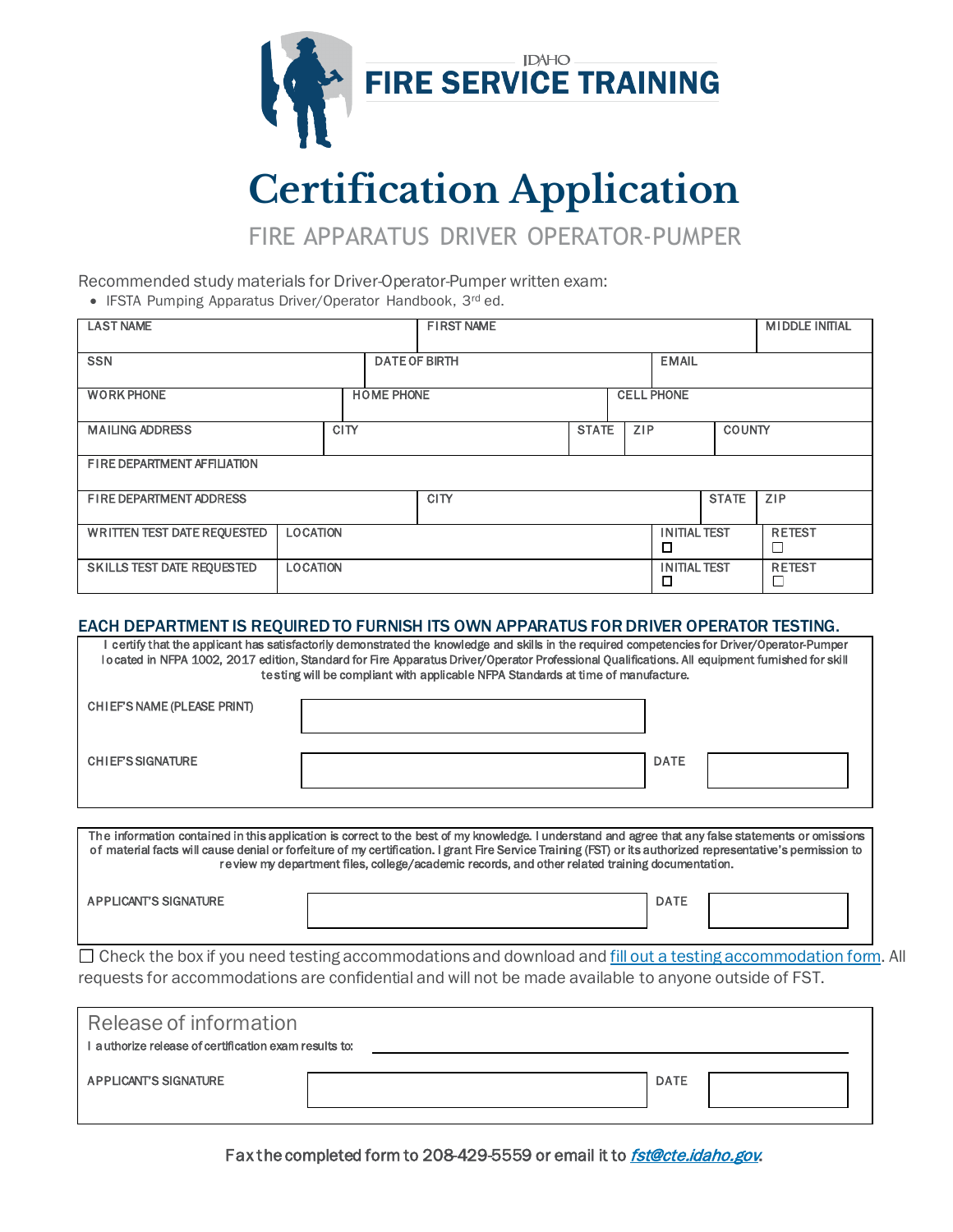

## **Certification Application**

FIRE APPARATUS DRIVER OPERATOR-PUMPER

Recommended study materials for Driver-Operator-Pumper written exam:

• IFSTA Pumping Apparatus Driver/Operator Handbook, 3rd ed.

| <b>LAST NAME</b>                                      |             |                   | <b>FIRST NAME</b>    |              |     |                          |               | <b>MIDDLE INITAL</b> |  |
|-------------------------------------------------------|-------------|-------------------|----------------------|--------------|-----|--------------------------|---------------|----------------------|--|
| <b>SSN</b>                                            |             |                   | <b>DATE OF BIRTH</b> |              |     | <b>EMAIL</b>             |               |                      |  |
| <b>WORK PHONE</b>                                     |             | <b>HOME PHONE</b> | <b>CELL PHONE</b>    |              |     |                          |               |                      |  |
| <b>MAILING ADDRESS</b>                                | <b>CITY</b> |                   |                      | <b>STATE</b> | ZIP |                          | <b>COUNTY</b> |                      |  |
| FIRE DEPARTMENT AFFILIATION                           |             |                   |                      |              |     |                          |               |                      |  |
| <b>FIRE DEPARTMENT ADDRESS</b>                        |             |                   | <b>CITY</b>          |              |     |                          | <b>STATE</b>  | ZIP                  |  |
| <b>LOCATION</b><br><b>WRITTEN TEST DATE REQUESTED</b> |             |                   |                      |              |     | <b>INITIAL TEST</b><br>□ |               | <b>RETEST</b><br>Г   |  |
| <b>LOCATION</b><br><b>SKILLS TEST DATE REQUESTED</b>  |             |                   |                      |              |     | <b>INITIAL TEST</b><br>◻ |               | <b>RETEST</b>        |  |

## EACH DEPARTMENT IS REQUIRED TO FURNISH ITS OWN APPARATUS FOR DRIVER OPERATOR TESTING.

I certify that the applicant has satisfactorily demonstrated the knowledge and skills in the required competencies for Driver/Operator-Pumper l ocated in NFPA 1002, 2017 edition, Standard for Fire Apparatus Driver/Operator Professional Qualifications. All equipment furnished for skill testing will be compliant with applicable NFPA Standards at time of manufacture.

CHIEF'S NAME (PLEASE PRINT)

CHIEF'S SIGNATURE DATE DATE OF THE CHIEF'S SIGNATURE THE CHIEF'S SIGNATURE OF THE CHIEF'S SIGNATURE OF THE CHIEF'S SIGNATURE OF THE CHIEF'S SIGNATURE OF THE CHIEF'S SIGNATURE OF THE CHIEF'S SIGNATURE OF THE CHIEF'S SIGNATU

The information contained in this application is correct to the best of my knowledge. I understand and agree that any false statements or omissions of material facts will cause denial or forfeiture of my certification. I grant Fire Service Training (FST) or its authorized representative's permission to review my department files, college/academic records, and other related training documentation.

APPLICANT'S SIGNATURE DATE DATE DATE AND A SERIES OF STATE OF A SERIES OF DATE DATE.

 $\Box$  Check the box if you need testing accommodations and download an[d fill out a testing accommodation form](https://cte.idaho.gov/wp-content/uploads/2021/07/TestingAccommodationForm_070621.pdf). All requests for accommodations are confidential and will not be made available to anyone outside of FST.

| Release of information                                |  |             |  |  |  |
|-------------------------------------------------------|--|-------------|--|--|--|
| I authorize release of certification exam results to: |  |             |  |  |  |
|                                                       |  |             |  |  |  |
| <b>APPLICANT'S SIGNATURE</b>                          |  | <b>DATE</b> |  |  |  |
|                                                       |  |             |  |  |  |
|                                                       |  |             |  |  |  |

Fax the completed form to 208-429-5559 or email it to **[fst@cte.idaho.gov](mailto:fst@cte.idaho.gov).**